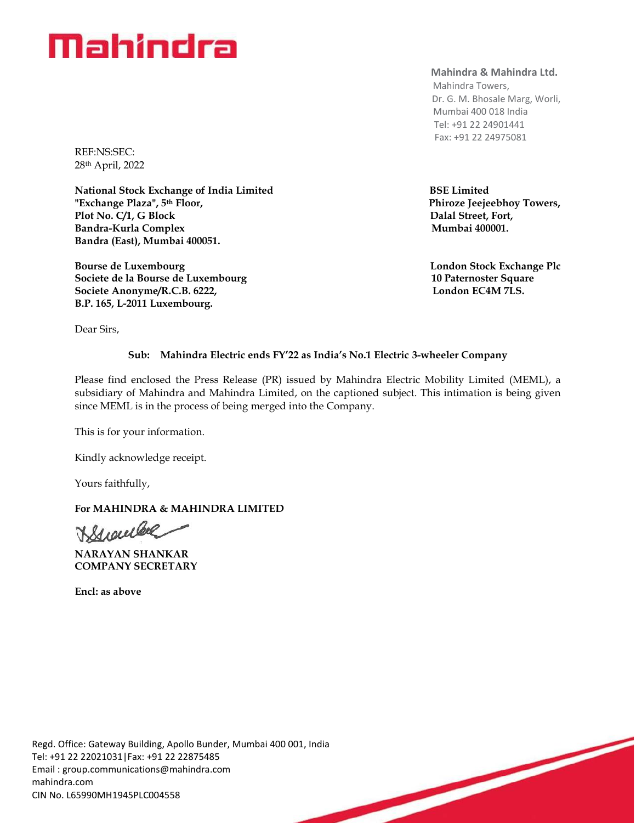# **Mahindra**

REF:NS:SEC: 28th April, 2022

**National Stock Exchange of India Limited BSE Limited "Exchange Plaza", 5th Floor, Phiroze Jeejeebhoy Towers,**  Plot No. C/1, G Block **Dalal Street, Fort, Bandra-Kurla Complex Mumbai 400001. Bandra (East), Mumbai 400051.**

**Bourse de Luxembourg London Stock Exchange Plc Societe de la Bourse de Luxembourg 10 Paternoster Square** Societe Anonyme/R.C.B. 6222, **London EC4M 7LS. B.P. 165, L-2011 Luxembourg.**

**Mahindra & Mahindra Ltd.**

 Mahindra Towers, Dr. G. M. Bhosale Marg, Worli, Mumbai 400 018 India Tel: +91 22 24901441 Fax: +91 22 24975081

Dear Sirs,

## **Sub: Mahindra Electric ends FY'22 as India's No.1 Electric 3-wheeler Company**

Please find enclosed the Press Release (PR) issued by Mahindra Electric Mobility Limited (MEML), a subsidiary of Mahindra and Mahindra Limited, on the captioned subject. This intimation is being given since MEML is in the process of being merged into the Company.

This is for your information.

Kindly acknowledge receipt.

Yours faithfully,

## **For MAHINDRA & MAHINDRA LIMITED**

Buenteel

**NARAYAN SHANKAR COMPANY SECRETARY** 

**Encl: as above**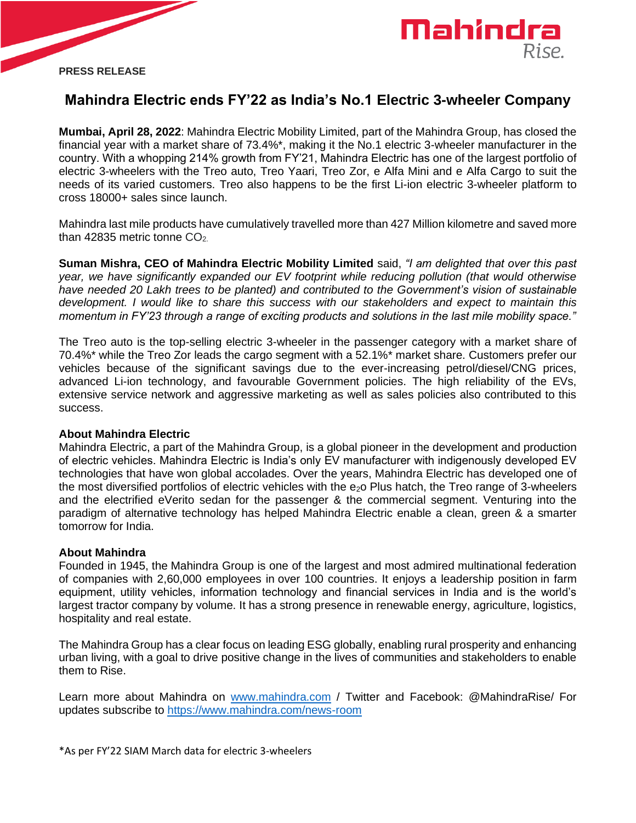



# **Mahindra Electric ends FY'22 as India's No.1 Electric 3-wheeler Company**

**Mumbai, April 28, 2022**: Mahindra Electric Mobility Limited, part of the Mahindra Group, has closed the financial year with a market share of 73.4%\*, making it the No.1 electric 3-wheeler manufacturer in the country. With a whopping 214% growth from FY'21, Mahindra Electric has one of the largest portfolio of electric 3-wheelers with the Treo auto, Treo Yaari, Treo Zor, e Alfa Mini and e Alfa Cargo to suit the needs of its varied customers. Treo also happens to be the first Li-ion electric 3-wheeler platform to cross 18000+ sales since launch.

Mahindra last mile products have cumulatively travelled more than 427 Million kilometre and saved more than 42835 metric tonne  $CO<sub>2</sub>$ 

**Suman Mishra, CEO of Mahindra Electric Mobility Limited** said, *"I am delighted that over this past year, we have significantly expanded our EV footprint while reducing pollution (that would otherwise have needed 20 Lakh trees to be planted) and contributed to the Government's vision of sustainable development. I would like to share this success with our stakeholders and expect to maintain this momentum in FY'23 through a range of exciting products and solutions in the last mile mobility space."*

The Treo auto is the top-selling electric 3-wheeler in the passenger category with a market share of 70.4%\* while the Treo Zor leads the cargo segment with a 52.1%\* market share. Customers prefer our vehicles because of the significant savings due to the ever-increasing petrol/diesel/CNG prices, advanced Li-ion technology, and favourable Government policies. The high reliability of the EVs, extensive service network and aggressive marketing as well as sales policies also contributed to this success.

### **About Mahindra Electric**

Mahindra Electric, a part of the Mahindra Group, is a global pioneer in the development and production of electric vehicles. Mahindra Electric is India's only EV manufacturer with indigenously developed EV technologies that have won global accolades. Over the years, Mahindra Electric has developed one of the most diversified portfolios of electric vehicles with the  $e<sub>2</sub>$  Plus hatch, the Treo range of 3-wheelers and the electrified eVerito sedan for the passenger & the commercial segment. Venturing into the paradigm of alternative technology has helped Mahindra Electric enable a clean, green & a smarter tomorrow for India.

### **About Mahindra**

Founded in 1945, the Mahindra Group is one of the largest and most admired multinational federation of companies with 2,60,000 employees in over 100 countries. It enjoys a leadership position in farm equipment, utility vehicles, information technology and financial services in India and is the world's largest tractor company by volume. It has a strong presence in renewable energy, agriculture, logistics, hospitality and real estate.

The Mahindra Group has a clear focus on leading ESG globally, enabling rural prosperity and enhancing urban living, with a goal to drive positive change in the lives of communities and stakeholders to enable them to Rise.

Learn more about Mahindra on [www.mahindra.com](http://www.mahindra.com/) / Twitter and Facebook: @MahindraRise/ For updates subscribe to<https://www.mahindra.com/news-room>